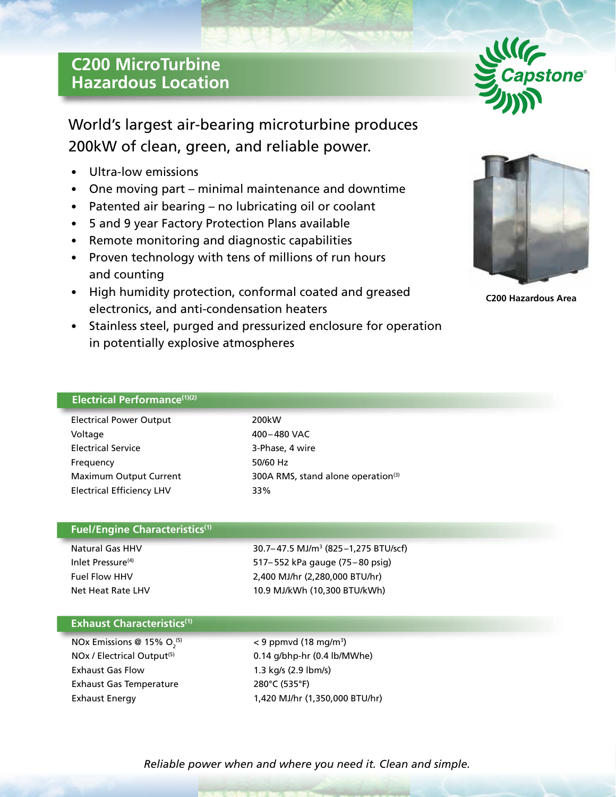# **C200 MicroTurbine Hazardous Location**



World's largest air-bearing microturbine produces 200kW of clean, green, and reliable power.

- Ultra-low emissions
- One moving part minimal maintenance and downtime
- Patented air bearing no lubricating oil or coolant
- 5 and 9 year Factory Protection Plans available
- Remote monitoring and diagnostic capabilities
- Proven technology with tens of millions of run hours and counting
- High humidity protection, conformal coated and greased electronics, and anti-condensation heaters
- Stainless steel, purged and pressurized enclosure for operation in potentially explosive atmospheres



**C200 Hazardous Area**

## **Electrical Performance(1)(2)**

| <b>Electrical Power Output</b>   | 200k |
|----------------------------------|------|
| Voltage                          | 400- |
| <b>Electrical Service</b>        | 3-Ph |
| Frequency                        | 50/6 |
| Maximum Output Current           | 300A |
| <b>Electrical Efficiency LHV</b> | 33%  |

200kW 400–480 VAC 3-Phase, 4 wire 50/60 Hz 300A RMS, stand alone operation<sup>(3)</sup>

## **Fuel/Engine Characteristics(1)**

Natural Gas HHV 30.7– 47.5 MJ/m3 (825–1,275 BTU/scf) Inlet Pressure<sup>(4)</sup> 517–552 kPa gauge (75–80 psig) Fuel Flow HHV 2,400 MJ/hr (2,280,000 BTU/hr) Net Heat Rate LHV 10.9 MJ/kWh (10,300 BTU/kWh)

## **Exhaust Characteristics(1)**

NOx Emissions @ 15%  $O<sub>2</sub><sup>(5)</sup>$ Exhaust Gas Flow 1.3 kg/s (2.9 lbm/s) Exhaust Gas Temperature 280°C (535°F) Exhaust Energy 1,420 MJ/hr (1,350,000 BTU/hr)

 $(5)$  < 9 ppmvd (18 mg/m<sup>3</sup>)  $NOx$  / Electrical Output<sup>(5)</sup> 0.14 g/bhp-hr (0.4 lb/MWhe)

*Reliable power when and where you need it. Clean and simple.*